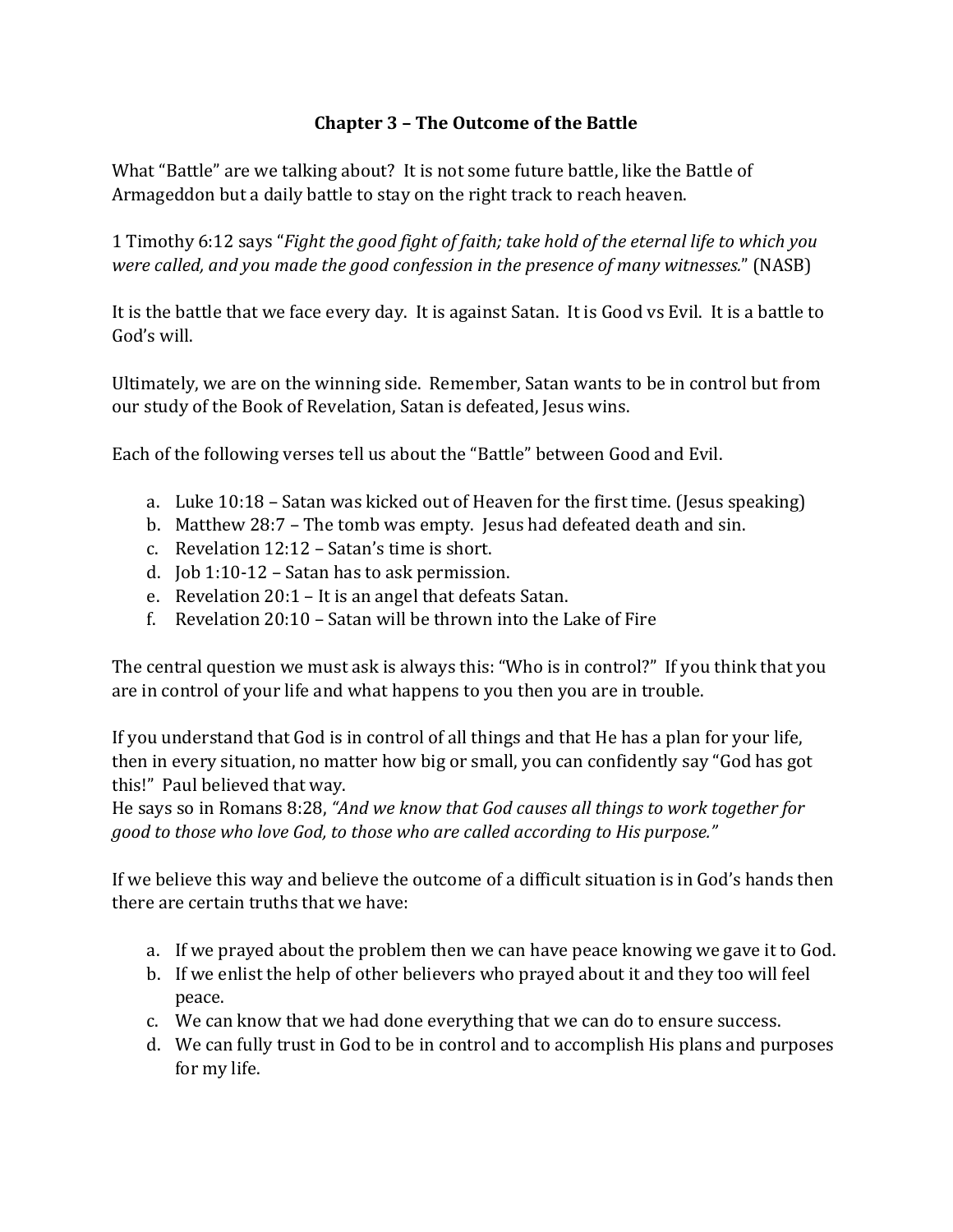## **Chapter 3 – The Outcome of the Battle**

What "Battle" are we talking about? It is not some future battle, like the Battle of Armageddon but a daily battle to stay on the right track to reach heaven.

1 Timothy 6:12 says "*Fight the good fight of faith; take hold of the eternal life to which you were called, and you made the good confession in the presence of many witnesses.*" (NASB)

It is the battle that we face every day. It is against Satan. It is Good vs Evil. It is a battle to God's will.

Ultimately, we are on the winning side. Remember, Satan wants to be in control but from our study of the Book of Revelation, Satan is defeated, Jesus wins.

Each of the following verses tell us about the "Battle" between Good and Evil.

- a. Luke 10:18 Satan was kicked out of Heaven for the first time. (Jesus speaking)
- b. Matthew 28:7 The tomb was empty. Jesus had defeated death and sin.
- c. Revelation 12:12 Satan's time is short.
- d. Job 1:10-12 Satan has to ask permission.
- e. Revelation 20:1 It is an angel that defeats Satan.
- f. Revelation 20:10 Satan will be thrown into the Lake of Fire

The central question we must ask is always this: "Who is in control?" If you think that you are in control of your life and what happens to you then you are in trouble.

If you understand that God is in control of all things and that He has a plan for your life, then in every situation, no matter how big or small, you can confidently say "God has got this!" Paul believed that way.

He says so in Romans 8:28, *"And we know that God causes all things to work together for good to those who love God, to those who are called according to His purpose."* 

If we believe this way and believe the outcome of a difficult situation is in God's hands then there are certain truths that we have:

- a. If we prayed about the problem then we can have peace knowing we gave it to God.
- b. If we enlist the help of other believers who prayed about it and they too will feel peace.
- c. We can know that we had done everything that we can do to ensure success.
- d. We can fully trust in God to be in control and to accomplish His plans and purposes for my life.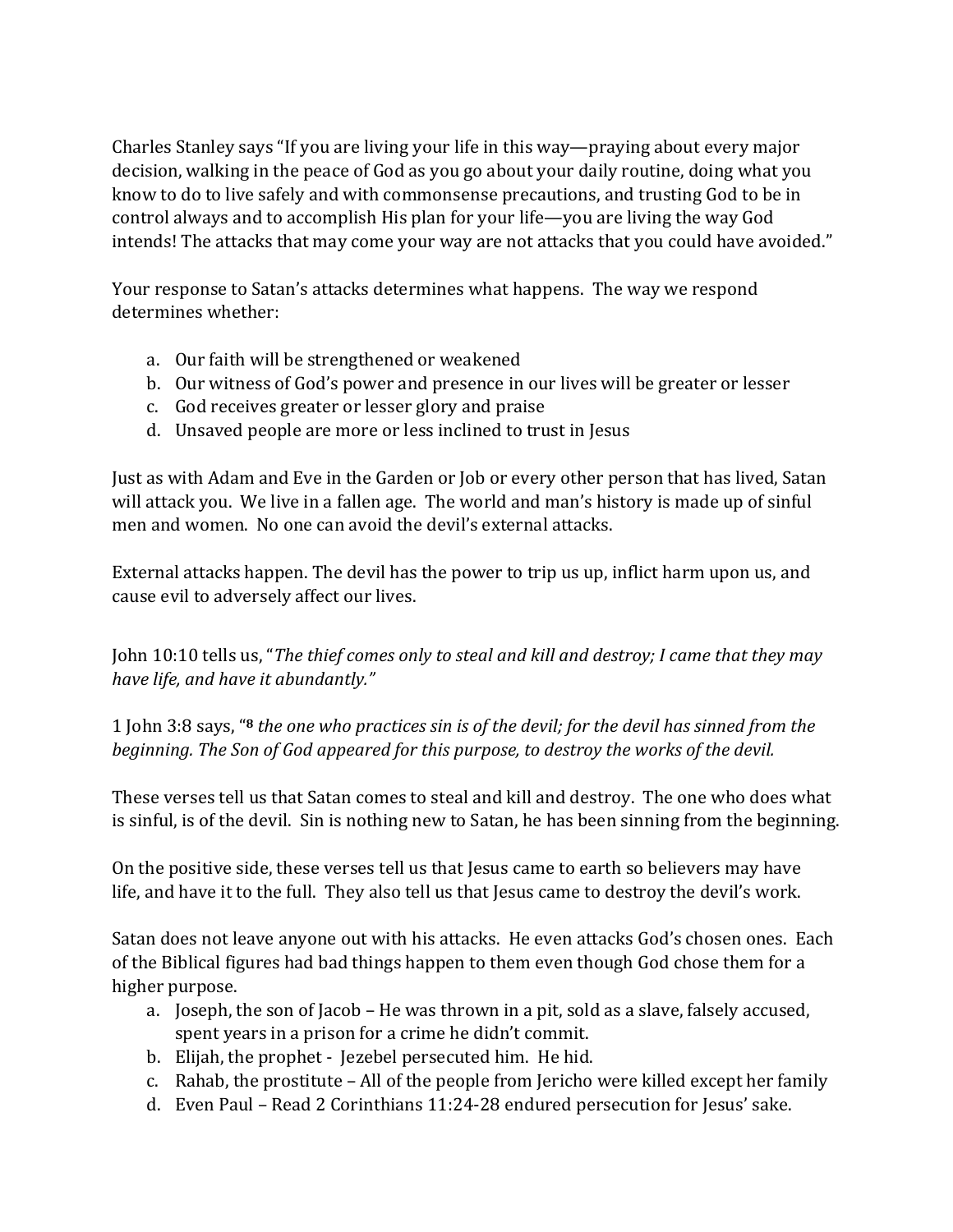Charles Stanley says "If you are living your life in this way—praying about every major decision, walking in the peace of God as you go about your daily routine, doing what you know to do to live safely and with commonsense precautions, and trusting God to be in control always and to accomplish His plan for your life—you are living the way God intends! The attacks that may come your way are not attacks that you could have avoided."

Your response to Satan's attacks determines what happens. The way we respond determines whether:

- a. Our faith will be strengthened or weakened
- b. Our witness of God's power and presence in our lives will be greater or lesser
- c. God receives greater or lesser glory and praise
- d. Unsaved people are more or less inclined to trust in Jesus

Just as with Adam and Eve in the Garden or Job or every other person that has lived, Satan will attack you. We live in a fallen age. The world and man's history is made up of sinful men and women. No one can avoid the devil's external attacks.

External attacks happen. The devil has the power to trip us up, inflict harm upon us, and cause evil to adversely affect our lives.

John 10:10 tells us, "*The thief comes only to steal and kill and destroy; I came that they may have life, and have it abundantly."* 

1 John 3:8 says, "**8** *the one who practices sin is of the devil; for the devil has sinned from the beginning. The Son of God appeared for this purpose, to destroy the works of the devil.* 

These verses tell us that Satan comes to steal and kill and destroy. The one who does what is sinful, is of the devil. Sin is nothing new to Satan, he has been sinning from the beginning.

On the positive side, these verses tell us that Jesus came to earth so believers may have life, and have it to the full. They also tell us that Jesus came to destroy the devil's work.

Satan does not leave anyone out with his attacks. He even attacks God's chosen ones. Each of the Biblical figures had bad things happen to them even though God chose them for a higher purpose.

- a. Joseph, the son of Jacob He was thrown in a pit, sold as a slave, falsely accused, spent years in a prison for a crime he didn't commit.
- b. Elijah, the prophet Jezebel persecuted him. He hid.
- c. Rahab, the prostitute All of the people from Jericho were killed except her family
- d. Even Paul Read 2 Corinthians 11:24-28 endured persecution for Jesus' sake.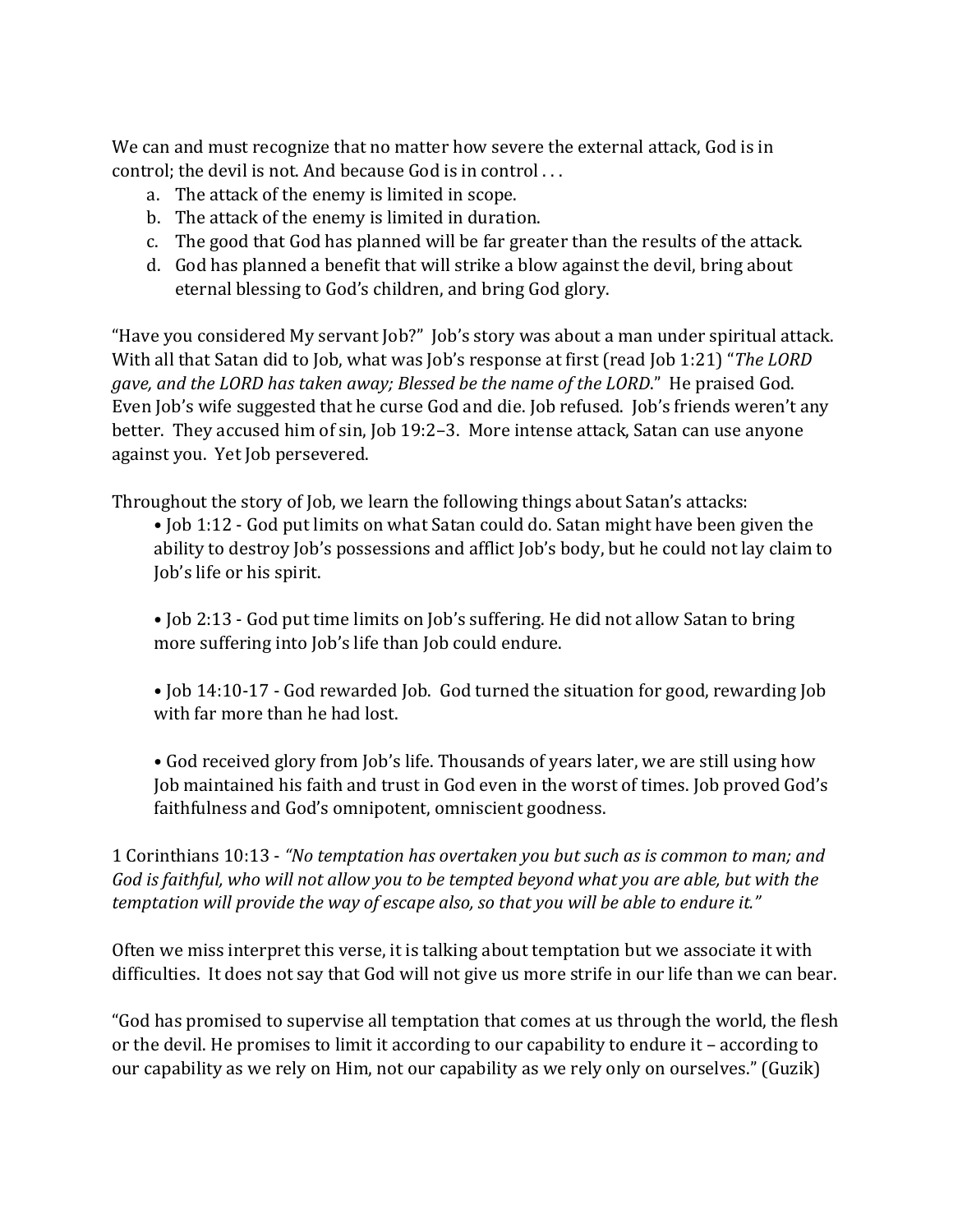We can and must recognize that no matter how severe the external attack, God is in control; the devil is not. And because God is in control . . .

- a. The attack of the enemy is limited in scope.
- b. The attack of the enemy is limited in duration.
- c. The good that God has planned will be far greater than the results of the attack.
- d. God has planned a benefit that will strike a blow against the devil, bring about eternal blessing to God's children, and bring God glory.

"Have you considered My servant Job?" Job's story was about a man under spiritual attack. With all that Satan did to Job, what was Job's response at first (read Job 1:21) "*The LORD gave, and the LORD has taken away; Blessed be the name of the LORD*." He praised God. Even Job's wife suggested that he curse God and die. Job refused. Job's friends weren't any better. They accused him of sin, Job 19:2–3. More intense attack, Satan can use anyone against you. Yet Job persevered.

Throughout the story of Job, we learn the following things about Satan's attacks:

• Job 1:12 - God put limits on what Satan could do. Satan might have been given the ability to destroy Job's possessions and afflict Job's body, but he could not lay claim to Job's life or his spirit.

- Job 2:13 God put time limits on Job's suffering. He did not allow Satan to bring more suffering into Job's life than Job could endure.
- Job 14:10-17 God rewarded Job. God turned the situation for good, rewarding Job with far more than he had lost.
- God received glory from Job's life. Thousands of years later, we are still using how Job maintained his faith and trust in God even in the worst of times. Job proved God's faithfulness and God's omnipotent, omniscient goodness.

1 Corinthians 10:13 - *"No temptation has overtaken you but such as is common to man; and God is faithful, who will not allow you to be tempted beyond what you are able, but with the temptation will provide the way of escape also, so that you will be able to endure it."* 

Often we miss interpret this verse, it is talking about temptation but we associate it with difficulties. It does not say that God will not give us more strife in our life than we can bear.

"God has promised to supervise all temptation that comes at us through the world, the flesh or the devil. He promises to limit it according to our capability to endure it – according to our capability as we rely on Him, not our capability as we rely only on ourselves." (Guzik)